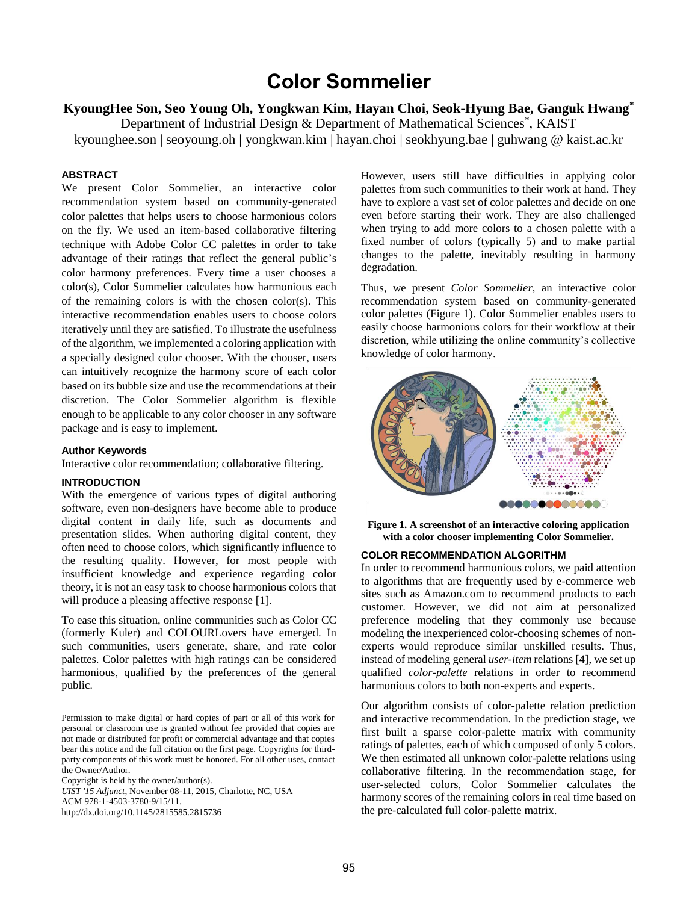# **Color Sommelier**

**KyoungHee Son, Seo Young Oh, Yongkwan Kim, Hayan Choi, Seok-Hyung Bae, Ganguk Hwang\***

Department of Industrial Design & Department of Mathematical Sciences<sup>\*</sup>, KAIST

kyounghee.son | seoyoung.oh | yongkwan.kim | hayan.choi | seokhyung.bae | guhwang @ kaist.ac.kr

## **ABSTRACT**

We present Color Sommelier, an interactive color recommendation system based on community-generated color palettes that helps users to choose harmonious colors on the fly. We used an item-based collaborative filtering technique with Adobe Color CC palettes in order to take advantage of their ratings that reflect the general public's color harmony preferences. Every time a user chooses a color(s), Color Sommelier calculates how harmonious each of the remaining colors is with the chosen color(s). This interactive recommendation enables users to choose colors iteratively until they are satisfied. To illustrate the usefulness of the algorithm, we implemented a coloring application with a specially designed color chooser. With the chooser, users can intuitively recognize the harmony score of each color based on its bubble size and use the recommendations at their discretion. The Color Sommelier algorithm is flexible enough to be applicable to any color chooser in any software package and is easy to implement.

# **Author Keywords**

Interactive color recommendation; collaborative filtering.

## **INTRODUCTION**

With the emergence of various types of digital authoring software, even non-designers have become able to produce digital content in daily life, such as documents and presentation slides. When authoring digital content, they often need to choose colors, which significantly influence to the resulting quality. However, for most people with insufficient knowledge and experience regarding color theory, it is not an easy task to choose harmonious colors that will produce a pleasing affective response [\[1\]](#page-1-0).

To ease this situation, online communities such as Color CC (formerly Kuler) and COLOURLovers have emerged. In such communities, users generate, share, and rate color palettes. Color palettes with high ratings can be considered harmonious, qualified by the preferences of the general public.

Permission to make digital or hard copies of part or all of this work for personal or classroom use is granted without fee provided that copies are not made or distributed for profit or commercial advantage and that copies bear this notice and the full citation on the first page. Copyrights for thirdparty components of this work must be honored. For all other uses, contact the Owner/Author.

Copyright is held by the owner/author(s).

*UIST '15 Adjunct*, November 08-11, 2015, Charlotte, NC, USA ACM 978-1-4503-3780-9/15/11. http://dx.doi.org/10.1145/2815585.2815736

However, users still have difficulties in applying color palettes from such communities to their work at hand. They have to explore a vast set of color palettes and decide on one even before starting their work. They are also challenged when trying to add more colors to a chosen palette with a fixed number of colors (typically 5) and to make partial changes to the palette, inevitably resulting in harmony degradation.

Thus, we present *Color Sommelier*, an interactive color recommendation system based on community-generated color palettes [\(Figure 1\)](#page-0-0). Color Sommelier enables users to easily choose harmonious colors for their workflow at their discretion, while utilizing the online community's collective knowledge of color harmony.



**Figure 1. A screenshot of an interactive coloring application with a color chooser implementing Color Sommelier.** 

## <span id="page-0-0"></span>**COLOR RECOMMENDATION ALGORITHM**

In order to recommend harmonious colors, we paid attention to algorithms that are frequently used by e-commerce web sites such as Amazon.com to recommend products to each customer. However, we did not aim at personalized preference modeling that they commonly use because modeling the inexperienced color-choosing schemes of nonexperts would reproduce similar unskilled results. Thus, instead of modeling general *user-item* relations [\[4\]](#page-1-1), we set up qualified *color-palette* relations in order to recommend harmonious colors to both non-experts and experts.

Our algorithm consists of color-palette relation prediction and interactive recommendation. In the prediction stage, we first built a sparse color-palette matrix with community ratings of palettes, each of which composed of only 5 colors. We then estimated all unknown color-palette relations using collaborative filtering. In the recommendation stage, for user-selected colors, Color Sommelier calculates the harmony scores of the remaining colors in real time based on the pre-calculated full color-palette matrix.